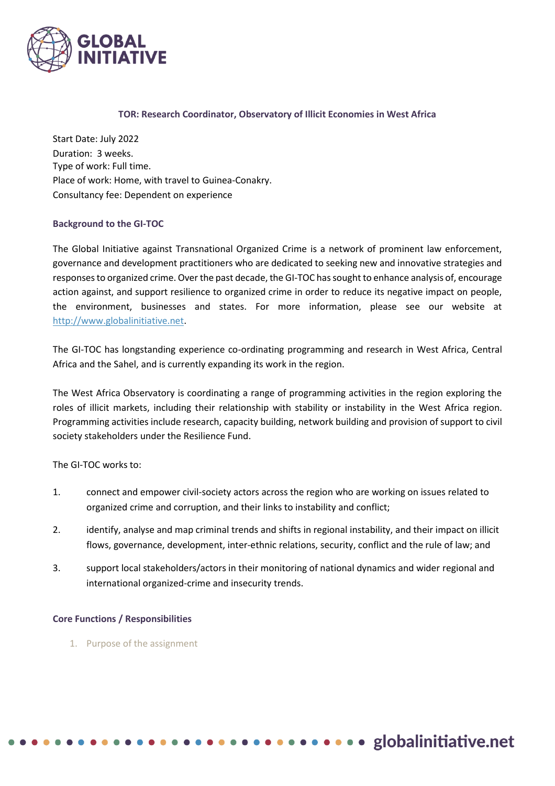

### **TOR: Research Coordinator, Observatory of Illicit Economies in West Africa**

Start Date: July 2022 Duration: 3 weeks. Type of work: Full time. Place of work: Home, with travel to Guinea-Conakry. Consultancy fee: Dependent on experience

### **Background to the GI-TOC**

The Global Initiative against Transnational Organized Crime is a network of prominent law enforcement, governance and development practitioners who are dedicated to seeking new and innovative strategies and responses to organized crime. Over the past decade, the GI-TOC has sought to enhance analysis of, encourage action against, and support resilience to organized crime in order to reduce its negative impact on people, the environment, businesses and states. For more information, please see our website at [http://www.globalinitiative.net.](http://www.globalinitiative.net/)

The GI-TOC has longstanding experience co-ordinating programming and research in West Africa, Central Africa and the Sahel, and is currently expanding its work in the region.

The West Africa Observatory is coordinating a range of programming activities in the region exploring the roles of illicit markets, including their relationship with stability or instability in the West Africa region. Programming activities include research, capacity building, network building and provision of support to civil society stakeholders under the Resilience Fund.

The GI-TOC works to:

- 1. connect and empower civil-society actors across the region who are working on issues related to organized crime and corruption, and their links to instability and conflict;
- 2. identify, analyse and map criminal trends and shifts in regional instability, and their impact on illicit flows, governance, development, inter-ethnic relations, security, conflict and the rule of law; and
- 3. support local stakeholders/actors in their monitoring of national dynamics and wider regional and international organized-crime and insecurity trends.

### **Core Functions / Responsibilities**

1. Purpose of the assignment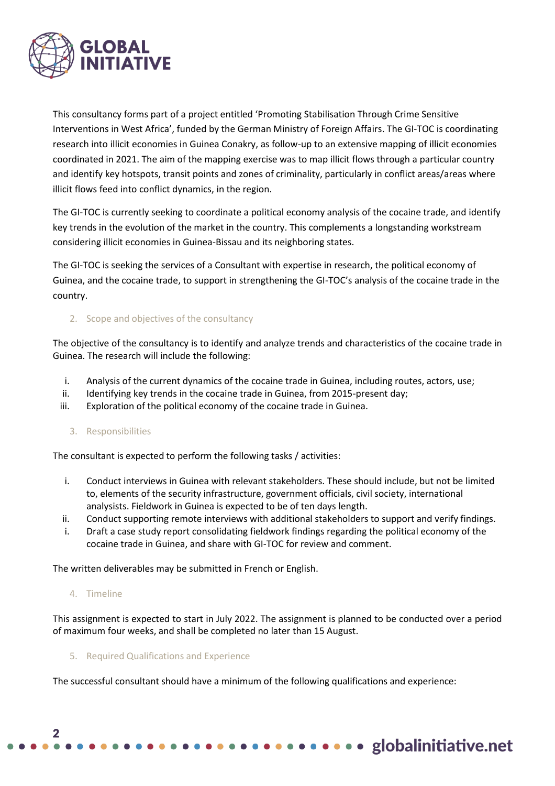

This consultancy forms part of a project entitled 'Promoting Stabilisation Through Crime Sensitive Interventions in West Africa', funded by the German Ministry of Foreign Affairs. The GI-TOC is coordinating research into illicit economies in Guinea Conakry, as follow-up to an extensive mapping of illicit economies coordinated in 2021. The aim of the mapping exercise was to map illicit flows through a particular country and identify key hotspots, transit points and zones of criminality, particularly in conflict areas/areas where illicit flows feed into conflict dynamics, in the region.

The GI-TOC is currently seeking to coordinate a political economy analysis of the cocaine trade, and identify key trends in the evolution of the market in the country. This complements a longstanding workstream considering illicit economies in Guinea-Bissau and its neighboring states.

The GI-TOC is seeking the services of a Consultant with expertise in research, the political economy of Guinea, and the cocaine trade, to support in strengthening the GI-TOC's analysis of the cocaine trade in the country.

# 2. Scope and objectives of the consultancy

The objective of the consultancy is to identify and analyze trends and characteristics of the cocaine trade in Guinea. The research will include the following:

- i. Analysis of the current dynamics of the cocaine trade in Guinea, including routes, actors, use;
- ii. Identifying key trends in the cocaine trade in Guinea, from 2015-present day;
- iii. Exploration of the political economy of the cocaine trade in Guinea.

### 3. Responsibilities

The consultant is expected to perform the following tasks / activities:

- i. Conduct interviews in Guinea with relevant stakeholders. These should include, but not be limited to, elements of the security infrastructure, government officials, civil society, international analysists. Fieldwork in Guinea is expected to be of ten days length.
- ii. Conduct supporting remote interviews with additional stakeholders to support and verify findings.
- i. Draft a case study report consolidating fieldwork findings regarding the political economy of the cocaine trade in Guinea, and share with GI-TOC for review and comment.

The written deliverables may be submitted in French or English.

#### 4. Timeline

This assignment is expected to start in July 2022. The assignment is planned to be conducted over a period of maximum four weeks, and shall be completed no later than 15 August.

#### 5. Required Qualifications and Experience

The successful consultant should have a minimum of the following qualifications and experience:

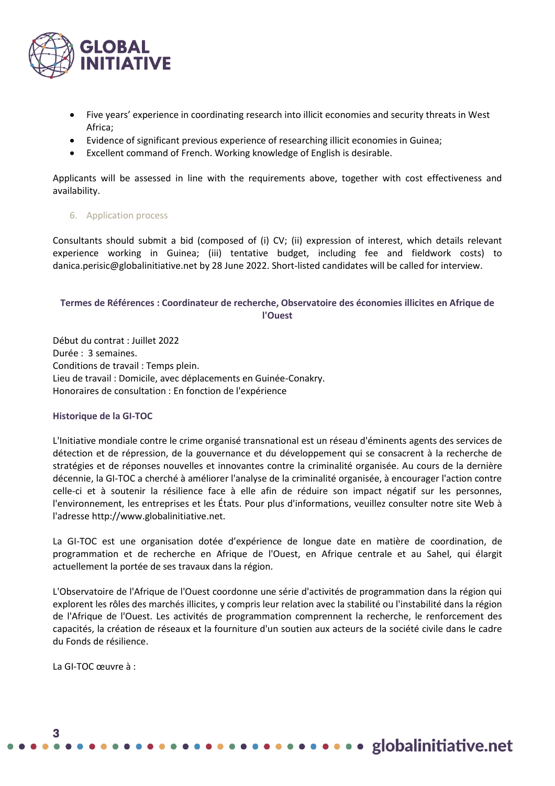

- Five years' experience in coordinating research into illicit economies and security threats in West Africa;
- Evidence of significant previous experience of researching illicit economies in Guinea;
- Excellent command of French. Working knowledge of English is desirable.

Applicants will be assessed in line with the requirements above, together with cost effectiveness and availability.

### 6. Application process

Consultants should submit a bid (composed of (i) CV; (ii) expression of interest, which details relevant experience working in Guinea; (iii) tentative budget, including fee and fieldwork costs) to danica.perisic@globalinitiative.net by 28 June 2022. Short-listed candidates will be called for interview.

# **Termes de Références : Coordinateur de recherche, Observatoire des économies illicites en Afrique de l'Ouest**

Début du contrat : Juillet 2022 Durée : 3 semaines. Conditions de travail : Temps plein. Lieu de travail : Domicile, avec déplacements en Guinée-Conakry. Honoraires de consultation : En fonction de l'expérience

### **Historique de la GI-TOC**

L'Initiative mondiale contre le crime organisé transnational est un réseau d'éminents agents des services de détection et de répression, de la gouvernance et du développement qui se consacrent à la recherche de stratégies et de réponses nouvelles et innovantes contre la criminalité organisée. Au cours de la dernière décennie, la GI-TOC a cherché à améliorer l'analyse de la criminalité organisée, à encourager l'action contre celle-ci et à soutenir la résilience face à elle afin de réduire son impact négatif sur les personnes, l'environnement, les entreprises et les États. Pour plus d'informations, veuillez consulter notre site Web à l'adresse http://www.globalinitiative.net.

La GI-TOC est une organisation dotée d'expérience de longue date en matière de coordination, de programmation et de recherche en Afrique de l'Ouest, en Afrique centrale et au Sahel, qui élargit actuellement la portée de ses travaux dans la région.

L'Observatoire de l'Afrique de l'Ouest coordonne une série d'activités de programmation dans la région qui explorent les rôles des marchés illicites, y compris leur relation avec la stabilité ou l'instabilité dans la région de l'Afrique de l'Ouest. Les activités de programmation comprennent la recherche, le renforcement des capacités, la création de réseaux et la fourniture d'un soutien aux acteurs de la société civile dans le cadre du Fonds de résilience.

La GI-TOC œuvre à :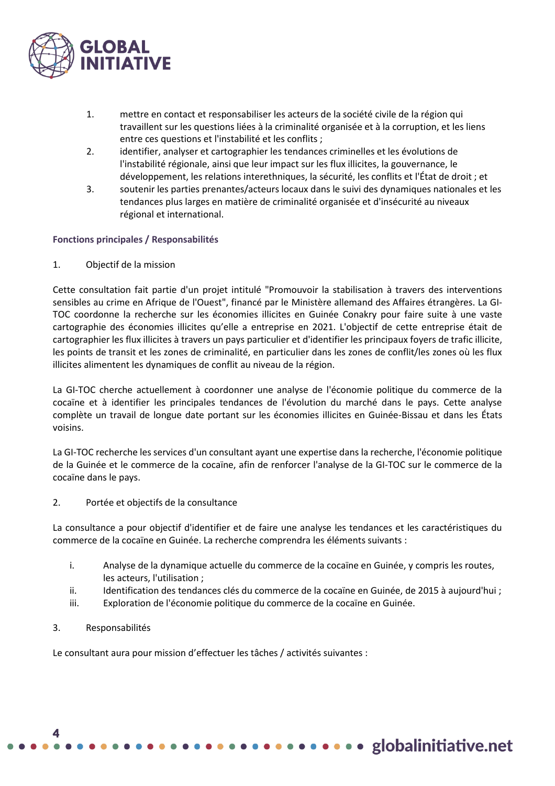

- 1. mettre en contact et responsabiliser les acteurs de la société civile de la région qui travaillent sur les questions liées à la criminalité organisée et à la corruption, et les liens entre ces questions et l'instabilité et les conflits ;
- 2. identifier, analyser et cartographier les tendances criminelles et les évolutions de l'instabilité régionale, ainsi que leur impact sur les flux illicites, la gouvernance, le développement, les relations interethniques, la sécurité, les conflits et l'État de droit ; et
- 3. soutenir les parties prenantes/acteurs locaux dans le suivi des dynamiques nationales et les tendances plus larges en matière de criminalité organisée et d'insécurité au niveaux régional et international.

# **Fonctions principales / Responsabilités**

1. Objectif de la mission

Cette consultation fait partie d'un projet intitulé "Promouvoir la stabilisation à travers des interventions sensibles au crime en Afrique de l'Ouest", financé par le Ministère allemand des Affaires étrangères. La GI-TOC coordonne la recherche sur les économies illicites en Guinée Conakry pour faire suite à une vaste cartographie des économies illicites qu'elle a entreprise en 2021. L'objectif de cette entreprise était de cartographier les flux illicites à travers un pays particulier et d'identifier les principaux foyers de trafic illicite, les points de transit et les zones de criminalité, en particulier dans les zones de conflit/les zones où les flux illicites alimentent les dynamiques de conflit au niveau de la région.

La GI-TOC cherche actuellement à coordonner une analyse de l'économie politique du commerce de la cocaïne et à identifier les principales tendances de l'évolution du marché dans le pays. Cette analyse complète un travail de longue date portant sur les économies illicites en Guinée-Bissau et dans les États voisins.

La GI-TOC recherche les services d'un consultant ayant une expertise dans la recherche, l'économie politique de la Guinée et le commerce de la cocaïne, afin de renforcer l'analyse de la GI-TOC sur le commerce de la cocaïne dans le pays.

2. Portée et objectifs de la consultance

La consultance a pour objectif d'identifier et de faire une analyse les tendances et les caractéristiques du commerce de la cocaïne en Guinée. La recherche comprendra les éléments suivants :

- i. Analyse de la dynamique actuelle du commerce de la cocaïne en Guinée, y compris les routes, les acteurs, l'utilisation ;
- ii. Identification des tendances clés du commerce de la cocaïne en Guinée, de 2015 à aujourd'hui ;
- iii. Exploration de l'économie politique du commerce de la cocaïne en Guinée.
- 3. Responsabilités

Le consultant aura pour mission d'effectuer les tâches / activités suivantes :